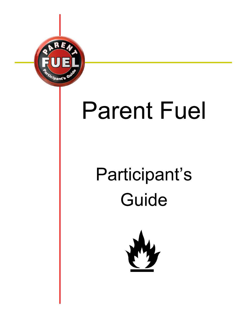

# **Parent Fuel**

# Participant's Guide

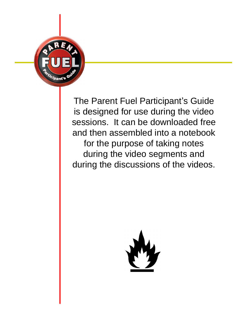

The Parent Fuel Participant's Guide is designed for use during the video sessions. It can be downloaded free and then assembled into a notebook for the purpose of taking notes during the video segments and during the discussions of the videos.

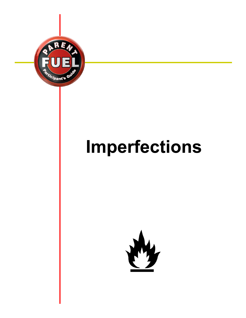

# Imperfections

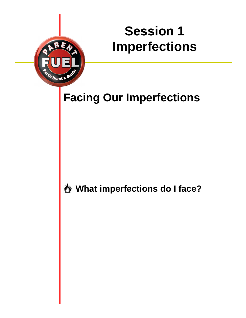# **Session 1 Imperfections**



*i*pant's

**What imperfections do I face?**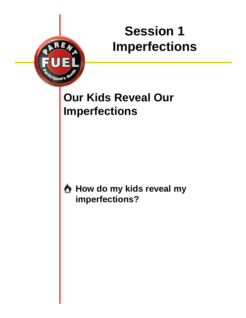# **Session 1 Imperfections**



**How do my kids reveal my imperfections?**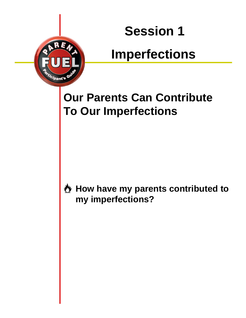### **Imperfections**

### **Our Parents Can Contribute To Our Imperfections**

*ipa*nt's

**How have my parents contributed to my imperfections?**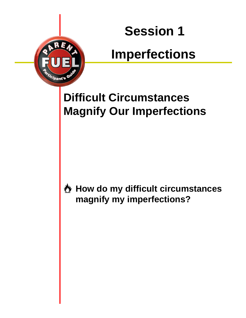# **Imperfections**

### **Difficult Circumstances Magnify Our Imperfections**

*pant'*s

**How do my difficult circumstances magnify my imperfections?**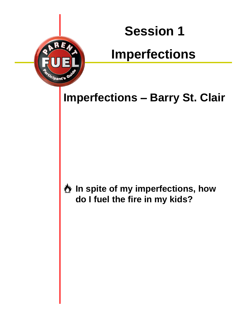# **Imperfections**

**Imperfections - Barry St. Clair** 

**In spite of my imperfections, how do I fuel the fire in my kids?**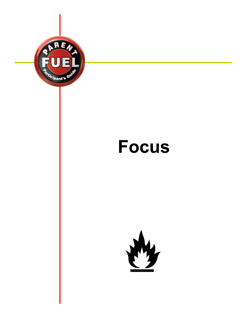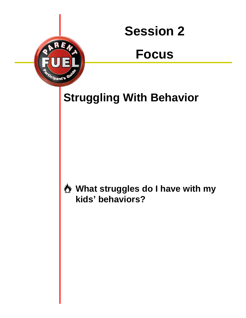### **Focus**

**Struggling With Behavior**

*.<br>Ipa*nt's

**What struggles do I have with my kids behaviors?**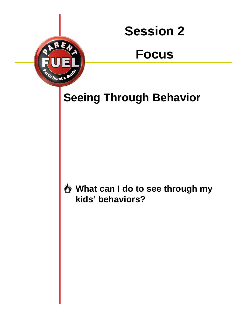### **Focus**

**Seeing Through Behavior**

*ipant's* 

**What can I do to see through my kids behaviors?**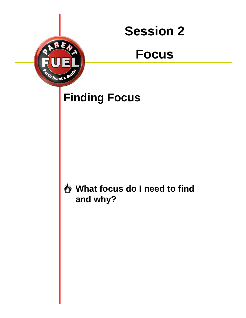### **Focus**

### **Finding Focus**

<sup>}j</sup>pant'§

#### **What focus do I need to find and why?**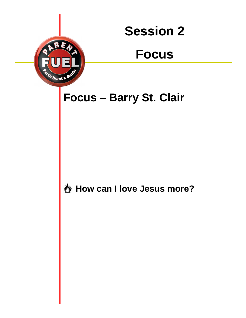### **Focus**

**Focus Barry St. Clair**

*ipant's* 

**How can I love Jesus more?**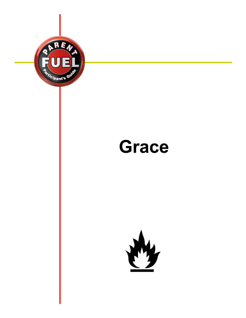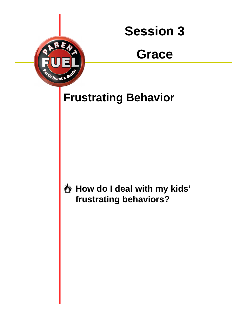

### **Grace**

### **Frustrating Behavior**

*.<br>Ipa*nt's

**How do I deal with my kids frustrating behaviors?**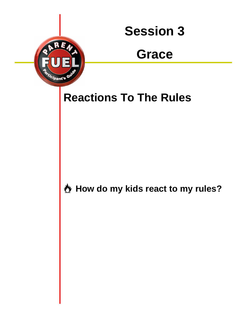

### **Grace**

### **Reactions To The Rules**

*ipant'*s

**How do my kids react to my rules?**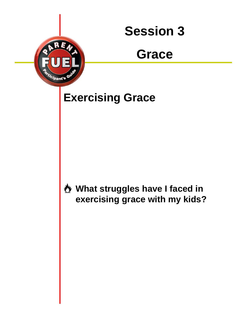### **Grace**

### **Exercising Grace**

*.<br>Ipa*nt's

**What struggles have I faced in exercising grace with my kids?**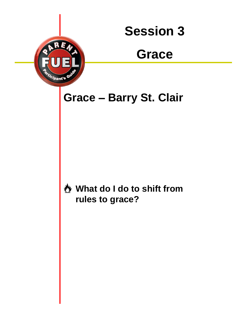

### **Grace**

**Grace Barry St. Clair**

*ipant's* 

**What do I do to shift from rules to grace?**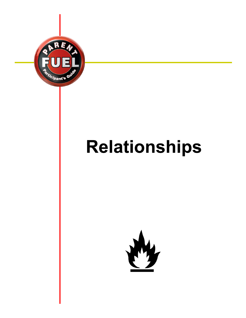

# **Relationships**

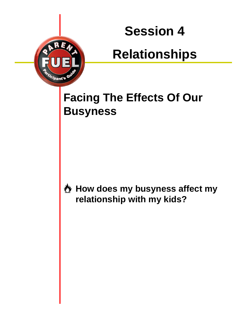# **Relationships**

### **Facing The Effects Of Our Busyness**

*ipant's* 

**How does my busyness affect my relationship with my kids?**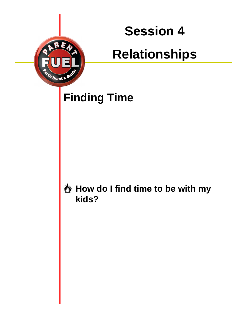# **Relationships**

### **Finding Time**

*.<br>Ipa*nt's

#### **How do I find time to be with my kids?**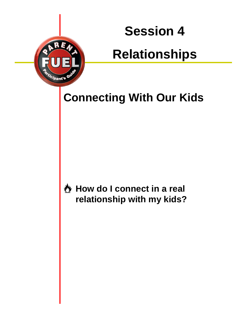# **Relationships**

**Connecting With Our Kids**

*ipa*nt's

**How do I connect in a real relationship with my kids?**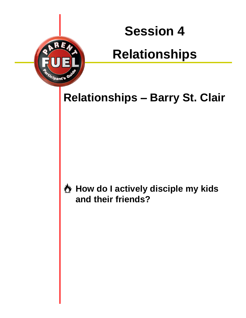# **Relationships**

**Relationships - Barry St. Clair** 

*ipa*nt's

**How do I actively disciple my kids and their friends?**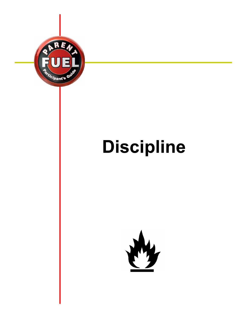

# **Discipline**

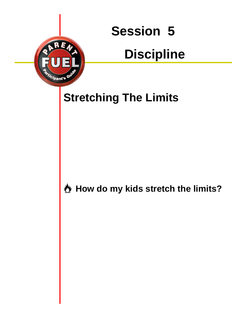# **Discipline**

### **Stretching The Limits**

*ipant*'s

**How do my kids stretch the limits?**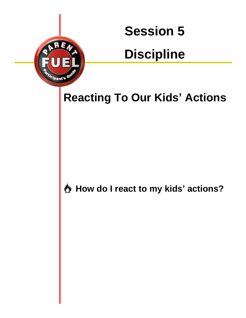# **Discipline**

### **Reacting To Our Kids Actions**

*i*pant's

**How do I react to my kids actions?**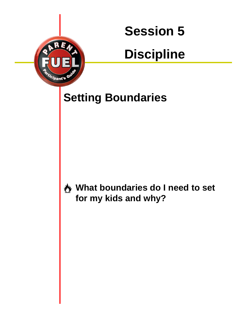# **Discipline**

### **Setting Boundaries**

*ipant'*s

**What boundaries do I need to set for my kids and why?**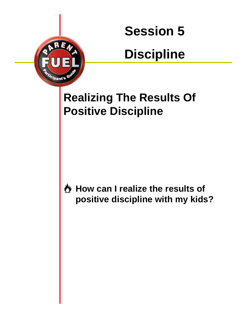# **Discipline**



*ipant'*s

**How can I realize the results of positive discipline with my kids?**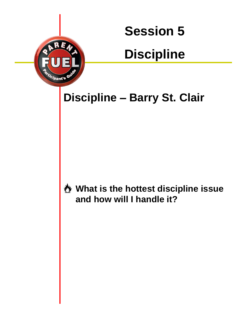# **Discipline**

### **Discipline - Barry St. Clair**

*ipa*nt's

#### **What is the hottest discipline issue and how will I handle it?**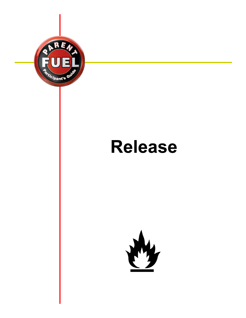

# **Release**

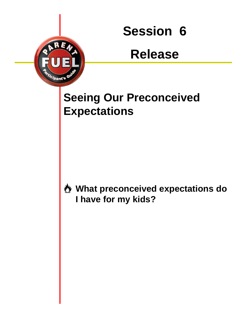### **Release**

### **Seeing Our Preconceived Expectations**

*ipant's* 

#### **What preconceived expectations do I have for my kids?**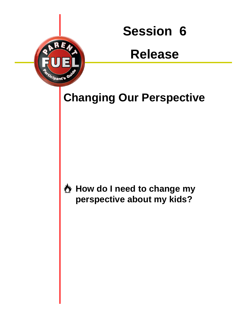### **Release**

**Changing Our Perspective**

*ipant'*s

**How do I need to change my perspective about my kids?**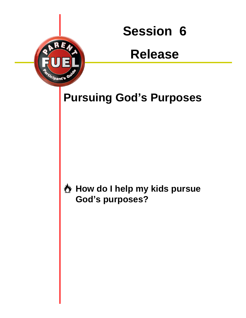### **Release**

**Pursuing God's Purposes** 

*ipant*'s

**How do I help my kids pursue God s purposes?**